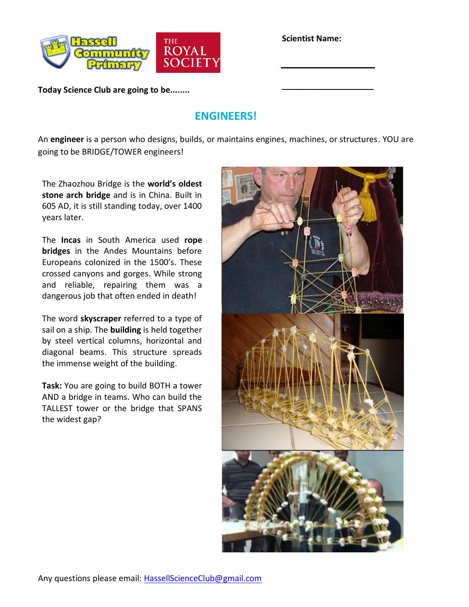

**Scientist Name:**

**\_\_\_\_\_\_\_\_\_\_\_\_\_\_\_\_\_\_\_\_**

**Today Science Club are going to be........**

## **ENGINEERS!**

An **engineer** is a person who designs, builds, or maintains engines, machines, or structures. YOU are going to be BRIDGE/TOWER engineers!

The Zhaozhou Bridge is the **world's oldest stone arch bridge** and is in China. Built in 605 AD, it is still standing today, over 1400 years later.

The **Incas** in South America used **rope bridges** in the Andes Mountains before Europeans colonized in the 1500's. These crossed canyons and gorges. While strong and reliable, repairing them was a dangerous job that often ended in death!

The word **skyscraper** referred to a type of sail on a ship. The **building** is held together by steel vertical columns, horizontal and diagonal beams. This structure spreads the immense weight of the building.

**Task:** You are going to build BOTH a tower AND a bridge in teams. Who can build the TALLEST tower or the bridge that SPANS the widest gap?